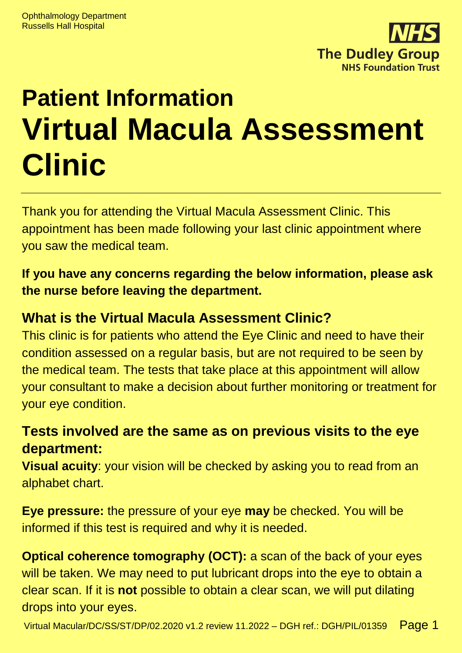

# **Patient Information Virtual Macula Assessment Clinic**

Thank you for attending the Virtual Macula Assessment Clinic. This appointment has been made following your last clinic appointment where you saw the medical team.

**If you have any concerns regarding the below information, please ask the nurse before leaving the department.**

#### **What is the Virtual Macula Assessment Clinic?**

This clinic is for patients who attend the Eye Clinic and need to have their condition assessed on a regular basis, but are not required to be seen by the medical team. The tests that take place at this appointment will allow your consultant to make a decision about further monitoring or treatment for your eye condition.

## **Tests involved are the same as on previous visits to the eye department:**

**Visual acuity**: your vision will be checked by asking you to read from an alphabet chart.

**Eye pressure:** the pressure of your eye **may** be checked. You will be informed if this test is required and why it is needed.

**Optical coherence tomography (OCT):** a scan of the back of your eyes will be taken. We may need to put lubricant drops into the eye to obtain a clear scan. If it is **not** possible to obtain a clear scan, we will put dilating drops into your eyes.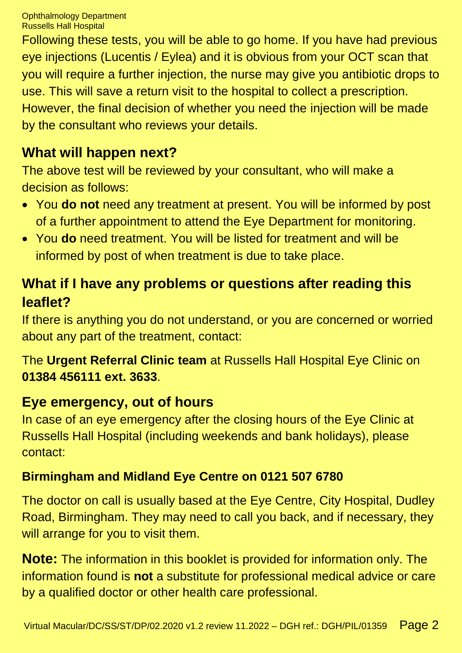Following these tests, you will be able to go home. If you have had previous eye injections (Lucentis / Eylea) and it is obvious from your OCT scan that you will require a further injection, the nurse may give you antibiotic drops to use. This will save a return visit to the hospital to collect a prescription. However, the final decision of whether you need the injection will be made by the consultant who reviews your details.

## **What will happen next?**

The above test will be reviewed by your consultant, who will make a decision as follows:

- You **do not** need any treatment at present. You will be informed by post of a further appointment to attend the Eye Department for monitoring.
- You **do** need treatment. You will be listed for treatment and will be informed by post of when treatment is due to take place.

## **What if I have any problems or questions after reading this leaflet?**

If there is anything you do not understand, or you are concerned or worried about any part of the treatment, contact:

The **Urgent Referral Clinic team** at Russells Hall Hospital Eye Clinic on **01384 456111 ext. 3633**.

## **Eye emergency, out of hours**

In case of an eye emergency after the closing hours of the Eye Clinic at Russells Hall Hospital (including weekends and bank holidays), please contact:

## **Birmingham and Midland Eye Centre on 0121 507 6780**

The doctor on call is usually based at the Eye Centre, City Hospital, Dudley Road, Birmingham. They may need to call you back, and if necessary, they will arrange for you to visit them.

**Note:** The information in this booklet is provided for information only. The information found is **not** a substitute for professional medical advice or care by a qualified doctor or other health care professional.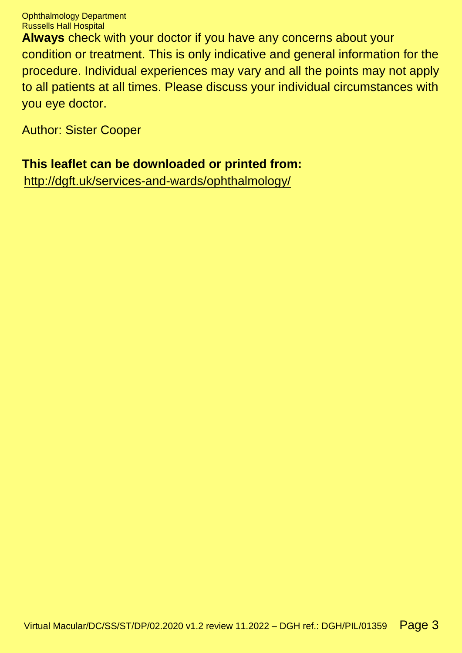Ophthalmology Department Russells Hall Hospital

**Always** check with your doctor if you have any concerns about your condition or treatment. This is only indicative and general information for the procedure. Individual experiences may vary and all the points may not apply to all patients at all times. Please discuss your individual circumstances with you eye doctor.

Author: Sister Cooper

#### **This leaflet can be downloaded or printed from:**

[http://dgft.uk/services-and-wards/ophthalmology/](http://dudleygroup.nhs.uk/services-and-wards/ophthalmology/)